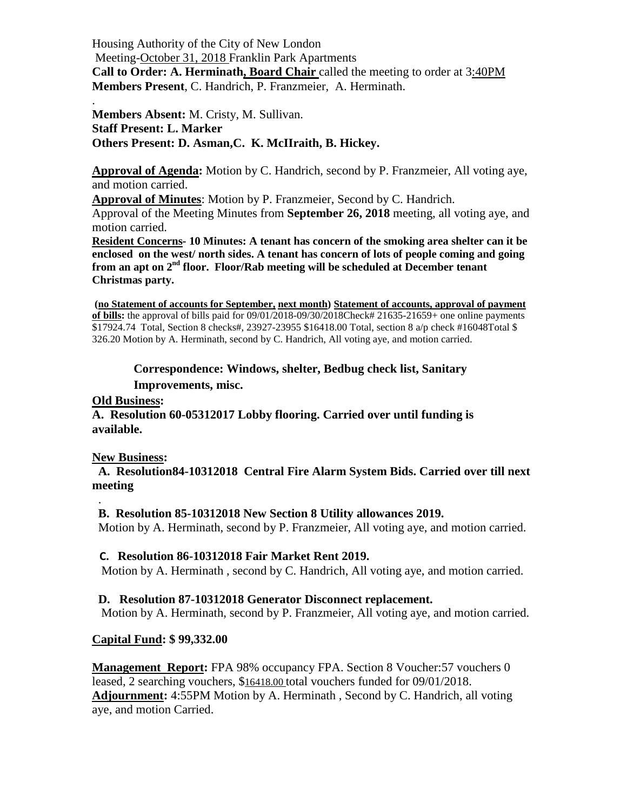Housing Authority of the City of New London Meeting-October 31, 2018 Franklin Park Apartments **Call to Order: A. Herminath, Board Chair** called the meeting to order at 3:40PM **Members Present**, C. Handrich, P. Franzmeier, A. Herminath.

**Members Absent:** M. Cristy, M. Sullivan. **Staff Present: L. Marker Others Present: D. Asman,C. K. McIIraith, B. Hickey.**

**Approval of Agenda:** Motion by C. Handrich, second by P. Franzmeier, All voting aye, and motion carried.

**Approval of Minutes**: Motion by P. Franzmeier, Second by C. Handrich.

Approval of the Meeting Minutes from **September 26, 2018** meeting, all voting aye, and motion carried.

**Resident Concerns- 10 Minutes: A tenant has concern of the smoking area shelter can it be enclosed on the west/ north sides. A tenant has concern of lots of people coming and going from an apt on 2nd floor. Floor/Rab meeting will be scheduled at December tenant Christmas party.**

**(no Statement of accounts for September, next month) Statement of accounts, approval of payment of bills:** the approval of bills paid for 09/01/2018-09/30/2018Check# 21635-21659+ one online payments \$17924.74 Total, Section 8 checks#, 23927-23955 \$16418.00 Total, section 8 a/p check #16048Total \$ 326.20 Motion by A. Herminath, second by C. Handrich, All voting aye, and motion carried.

**Correspondence: Windows, shelter, Bedbug check list, Sanitary Improvements, misc.**

#### **Old Business:**

.

**A. Resolution 60-05312017 Lobby flooring. Carried over until funding is available.**

#### **New Business:**

 **A. Resolution84-10312018 Central Fire Alarm System Bids. Carried over till next meeting**

#### .  **B. Resolution 85-10312018 New Section 8 Utility allowances 2019.**

Motion by A. Herminath, second by P. Franzmeier, All voting aye, and motion carried.

# **C. Resolution 86-10312018 Fair Market Rent 2019.**

Motion by A. Herminath , second by C. Handrich, All voting aye, and motion carried.

# **D. Resolution 87-10312018 Generator Disconnect replacement.**

Motion by A. Herminath, second by P. Franzmeier, All voting aye, and motion carried.

# **Capital Fund: \$ 99,332.00**

**Management Report:** FPA 98% occupancy FPA. Section 8 Voucher:57 vouchers 0 leased, 2 searching vouchers, \$16418.00 total vouchers funded for 09/01/2018. **Adjournment:** 4:55PM Motion by A. Herminath , Second by C. Handrich, all voting aye, and motion Carried.